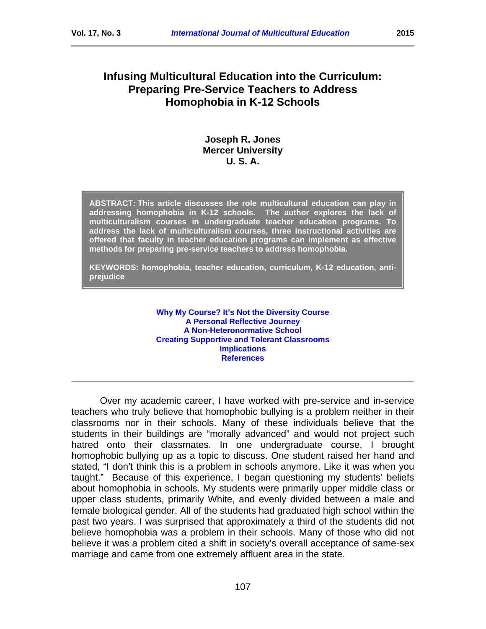# **Infusing Multicultural Education into the Curriculum: Preparing Pre-Service Teachers to Address Homophobia in K-12 Schools**

# **Joseph R. Jones Mercer University U. S. A.**

**ABSTRACT: This article discusses the role multicultural education can play in addressing homophobia in K-12 schools. The author explores the lack of multiculturalism courses in undergraduate teacher education programs. To address the lack of multiculturalism courses, three instructional activities are offered that faculty in teacher education programs can implement as effective methods for preparing pre-service teachers to address homophobia.**

**KEYWORDS: homophobia, teacher education, curriculum, K-12 education, antiprejudice**

> **[Why My Course? It's Not the Diversity Course](#page-2-0) [A Personal Reflective Journey](#page-4-0) [A Non-Heteronormative School](#page-6-0) [Creating Supportive and Tolerant Classrooms](#page-8-0) [Implications](#page-9-0) [References](#page-10-0)**

Over my academic career, I have worked with pre-service and in-service teachers who truly believe that homophobic bullying is a problem neither in their classrooms nor in their schools. Many of these individuals believe that the students in their buildings are "morally advanced" and would not project such hatred onto their classmates. In one undergraduate course, I brought homophobic bullying up as a topic to discuss. One student raised her hand and stated, "I don't think this is a problem in schools anymore. Like it was when you taught." Because of this experience, I began questioning my students' beliefs about homophobia in schools. My students were primarily upper middle class or upper class students, primarily White, and evenly divided between a male and female biological gender. All of the students had graduated high school within the past two years. I was surprised that approximately a third of the students did not believe homophobia was a problem in their schools. Many of those who did not believe it was a problem cited a shift in society's overall acceptance of same-sex marriage and came from one extremely affluent area in the state.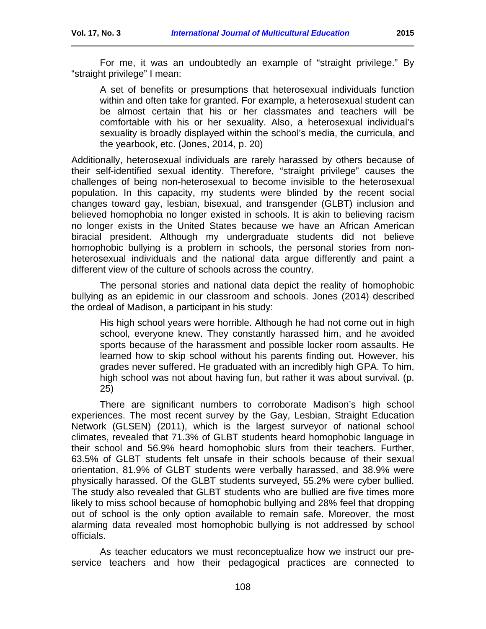A set of benefits or presumptions that heterosexual individuals function within and often take for granted. For example, a heterosexual student can be almost certain that his or her classmates and teachers will be comfortable with his or her sexuality. Also, a heterosexual individual's sexuality is broadly displayed within the school's media, the curricula, and the yearbook, etc. (Jones, 2014, p. 20)

Additionally, heterosexual individuals are rarely harassed by others because of their self-identified sexual identity. Therefore, "straight privilege" causes the challenges of being non-heterosexual to become invisible to the heterosexual population. In this capacity, my students were blinded by the recent social changes toward gay, lesbian, bisexual, and transgender (GLBT) inclusion and believed homophobia no longer existed in schools. It is akin to believing racism no longer exists in the United States because we have an African American biracial president. Although my undergraduate students did not believe homophobic bullying is a problem in schools, the personal stories from nonheterosexual individuals and the national data argue differently and paint a different view of the culture of schools across the country.

The personal stories and national data depict the reality of homophobic bullying as an epidemic in our classroom and schools. Jones (2014) described the ordeal of Madison, a participant in his study:

His high school years were horrible. Although he had not come out in high school, everyone knew. They constantly harassed him, and he avoided sports because of the harassment and possible locker room assaults. He learned how to skip school without his parents finding out. However, his grades never suffered. He graduated with an incredibly high GPA. To him, high school was not about having fun, but rather it was about survival. (p. 25)

There are significant numbers to corroborate Madison's high school experiences. The most recent survey by the Gay, Lesbian, Straight Education Network (GLSEN) (2011), which is the largest surveyor of national school climates, revealed that 71.3% of GLBT students heard homophobic language in their school and 56.9% heard homophobic slurs from their teachers. Further, 63.5% of GLBT students felt unsafe in their schools because of their sexual orientation, 81.9% of GLBT students were verbally harassed, and 38.9% were physically harassed. Of the GLBT students surveyed, 55.2% were cyber bullied. The study also revealed that GLBT students who are bullied are five times more likely to miss school because of homophobic bullying and 28% feel that dropping out of school is the only option available to remain safe. Moreover, the most alarming data revealed most homophobic bullying is not addressed by school officials.

As teacher educators we must reconceptualize how we instruct our preservice teachers and how their pedagogical practices are connected to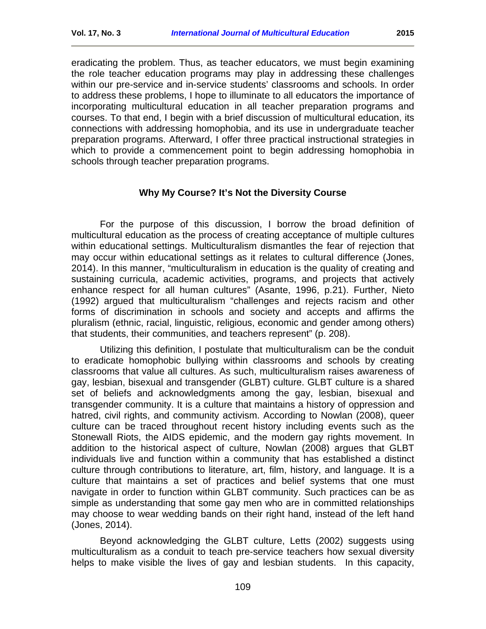eradicating the problem. Thus, as teacher educators, we must begin examining the role teacher education programs may play in addressing these challenges within our pre-service and in-service students' classrooms and schools. In order to address these problems, I hope to illuminate to all educators the importance of incorporating multicultural education in all teacher preparation programs and courses. To that end, I begin with a brief discussion of multicultural education, its connections with addressing homophobia, and its use in undergraduate teacher preparation programs. Afterward, I offer three practical instructional strategies in which to provide a commencement point to begin addressing homophobia in schools through teacher preparation programs.

# **Why My Course? It's Not the Diversity Course**

<span id="page-2-0"></span>For the purpose of this discussion, I borrow the broad definition of multicultural education as the process of creating acceptance of multiple cultures within educational settings. Multiculturalism dismantles the fear of rejection that may occur within educational settings as it relates to cultural difference (Jones, 2014). In this manner, "multiculturalism in education is the quality of creating and sustaining curricula, academic activities, programs, and projects that actively enhance respect for all human cultures" (Asante, 1996, p.21). Further, Nieto (1992) argued that multiculturalism "challenges and rejects racism and other forms of discrimination in schools and society and accepts and affirms the pluralism (ethnic, racial, linguistic, religious, economic and gender among others) that students, their communities, and teachers represent" (p. 208).

Utilizing this definition, I postulate that multiculturalism can be the conduit to eradicate homophobic bullying within classrooms and schools by creating classrooms that value all cultures. As such, multiculturalism raises awareness of gay, lesbian, bisexual and transgender (GLBT) culture. GLBT culture is a shared set of beliefs and acknowledgments among the gay, lesbian, bisexual and transgender community. It is a culture that maintains a history of oppression and hatred, civil rights, and community activism. According to Nowlan (2008), queer culture can be traced throughout recent history including events such as the Stonewall Riots, the AIDS epidemic, and the modern gay rights movement. In addition to the historical aspect of culture, Nowlan (2008) argues that GLBT individuals live and function within a community that has established a distinct culture through contributions to literature, art, film, history, and language. It is a culture that maintains a set of practices and belief systems that one must navigate in order to function within GLBT community. Such practices can be as simple as understanding that some gay men who are in committed relationships may choose to wear wedding bands on their right hand, instead of the left hand (Jones, 2014).

Beyond acknowledging the GLBT culture, Letts (2002) suggests using multiculturalism as a conduit to teach pre-service teachers how sexual diversity helps to make visible the lives of gay and lesbian students. In this capacity,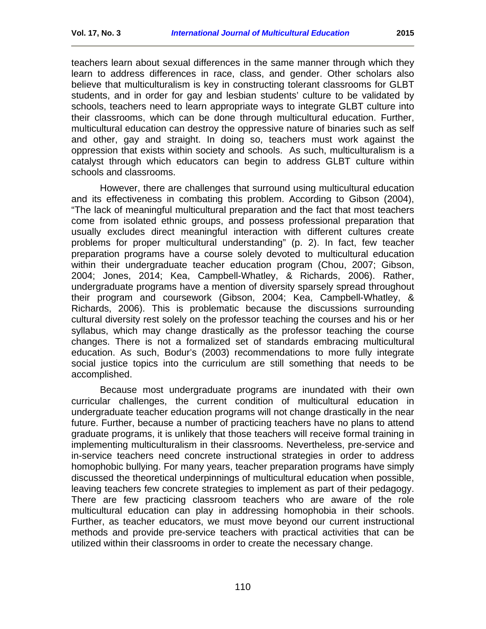teachers learn about sexual differences in the same manner through which they learn to address differences in race, class, and gender. Other scholars also believe that multiculturalism is key in constructing tolerant classrooms for GLBT students, and in order for gay and lesbian students' culture to be validated by schools, teachers need to learn appropriate ways to integrate GLBT culture into their classrooms, which can be done through multicultural education. Further, multicultural education can destroy the oppressive nature of binaries such as self and other, gay and straight. In doing so, teachers must work against the oppression that exists within society and schools. As such, multiculturalism is a catalyst through which educators can begin to address GLBT culture within schools and classrooms.

However, there are challenges that surround using multicultural education and its effectiveness in combating this problem. According to Gibson (2004), "The lack of meaningful multicultural preparation and the fact that most teachers come from isolated ethnic groups, and possess professional preparation that usually excludes direct meaningful interaction with different cultures create problems for proper multicultural understanding" (p. 2). In fact, few teacher preparation programs have a course solely devoted to multicultural education within their undergraduate teacher education program (Chou, 2007; Gibson, 2004; Jones, 2014; Kea, Campbell-Whatley, & Richards, 2006). Rather, undergraduate programs have a mention of diversity sparsely spread throughout their program and coursework (Gibson, 2004; Kea, Campbell-Whatley, & Richards, 2006). This is problematic because the discussions surrounding cultural diversity rest solely on the professor teaching the courses and his or her syllabus, which may change drastically as the professor teaching the course changes. There is not a formalized set of standards embracing multicultural education. As such, Bodur's (2003) recommendations to more fully integrate social justice topics into the curriculum are still something that needs to be accomplished.

Because most undergraduate programs are inundated with their own curricular challenges, the current condition of multicultural education in undergraduate teacher education programs will not change drastically in the near future. Further, because a number of practicing teachers have no plans to attend graduate programs, it is unlikely that those teachers will receive formal training in implementing multiculturalism in their classrooms. Nevertheless, pre-service and in-service teachers need concrete instructional strategies in order to address homophobic bullying. For many years, teacher preparation programs have simply discussed the theoretical underpinnings of multicultural education when possible, leaving teachers few concrete strategies to implement as part of their pedagogy. There are few practicing classroom teachers who are aware of the role multicultural education can play in addressing homophobia in their schools. Further, as teacher educators, we must move beyond our current instructional methods and provide pre-service teachers with practical activities that can be utilized within their classrooms in order to create the necessary change.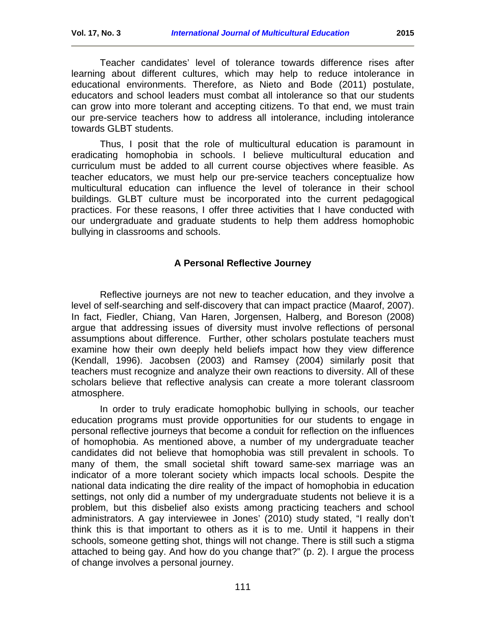Teacher candidates' level of tolerance towards difference rises after learning about different cultures, which may help to reduce intolerance in educational environments. Therefore, as Nieto and Bode (2011) postulate, educators and school leaders must combat all intolerance so that our students can grow into more tolerant and accepting citizens. To that end, we must train our pre-service teachers how to address all intolerance, including intolerance towards GLBT students.

Thus, I posit that the role of multicultural education is paramount in eradicating homophobia in schools. I believe multicultural education and curriculum must be added to all current course objectives where feasible. As teacher educators, we must help our pre-service teachers conceptualize how multicultural education can influence the level of tolerance in their school buildings. GLBT culture must be incorporated into the current pedagogical practices. For these reasons, I offer three activities that I have conducted with our undergraduate and graduate students to help them address homophobic bullying in classrooms and schools.

# **A Personal Reflective Journey**

<span id="page-4-0"></span>Reflective journeys are not new to teacher education, and they involve a level of self-searching and self-discovery that can impact practice (Maarof, 2007). In fact, Fiedler, Chiang, Van Haren, Jorgensen, Halberg, and Boreson (2008) argue that addressing issues of diversity must involve reflections of personal assumptions about difference. Further, other scholars postulate teachers must examine how their own deeply held beliefs impact how they view difference (Kendall, 1996). Jacobsen (2003) and Ramsey (2004) similarly posit that teachers must recognize and analyze their own reactions to diversity. All of these scholars believe that reflective analysis can create a more tolerant classroom atmosphere.

In order to truly eradicate homophobic bullying in schools, our teacher education programs must provide opportunities for our students to engage in personal reflective journeys that become a conduit for reflection on the influences of homophobia. As mentioned above, a number of my undergraduate teacher candidates did not believe that homophobia was still prevalent in schools. To many of them, the small societal shift toward same-sex marriage was an indicator of a more tolerant society which impacts local schools. Despite the national data indicating the dire reality of the impact of homophobia in education settings, not only did a number of my undergraduate students not believe it is a problem, but this disbelief also exists among practicing teachers and school administrators. A gay interviewee in Jones' (2010) study stated, "I really don't think this is that important to others as it is to me. Until it happens in their schools, someone getting shot, things will not change. There is still such a stigma attached to being gay. And how do you change that?" (p. 2). I argue the process of change involves a personal journey.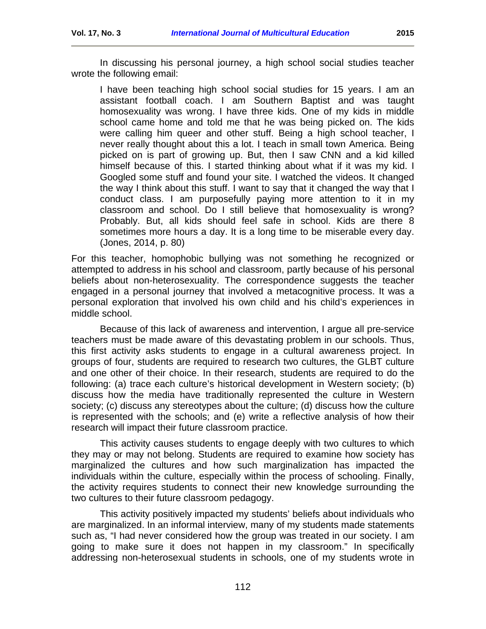In discussing his personal journey, a high school social studies teacher wrote the following email:

I have been teaching high school social studies for 15 years. I am an assistant football coach. I am Southern Baptist and was taught homosexuality was wrong. I have three kids. One of my kids in middle school came home and told me that he was being picked on. The kids were calling him queer and other stuff. Being a high school teacher, I never really thought about this a lot. I teach in small town America. Being picked on is part of growing up. But, then I saw CNN and a kid killed himself because of this. I started thinking about what if it was my kid. I Googled some stuff and found your site. I watched the videos. It changed the way I think about this stuff. I want to say that it changed the way that I conduct class. I am purposefully paying more attention to it in my classroom and school. Do I still believe that homosexuality is wrong? Probably. But, all kids should feel safe in school. Kids are there 8 sometimes more hours a day. It is a long time to be miserable every day. (Jones, 2014, p. 80)

For this teacher, homophobic bullying was not something he recognized or attempted to address in his school and classroom, partly because of his personal beliefs about non-heterosexuality. The correspondence suggests the teacher engaged in a personal journey that involved a metacognitive process. It was a personal exploration that involved his own child and his child's experiences in middle school.

Because of this lack of awareness and intervention, I argue all pre-service teachers must be made aware of this devastating problem in our schools. Thus, this first activity asks students to engage in a cultural awareness project. In groups of four, students are required to research two cultures, the GLBT culture and one other of their choice. In their research, students are required to do the following: (a) trace each culture's historical development in Western society; (b) discuss how the media have traditionally represented the culture in Western society; (c) discuss any stereotypes about the culture; (d) discuss how the culture is represented with the schools; and (e) write a reflective analysis of how their research will impact their future classroom practice.

This activity causes students to engage deeply with two cultures to which they may or may not belong. Students are required to examine how society has marginalized the cultures and how such marginalization has impacted the individuals within the culture, especially within the process of schooling. Finally, the activity requires students to connect their new knowledge surrounding the two cultures to their future classroom pedagogy.

This activity positively impacted my students' beliefs about individuals who are marginalized. In an informal interview, many of my students made statements such as, "I had never considered how the group was treated in our society. I am going to make sure it does not happen in my classroom." In specifically addressing non-heterosexual students in schools, one of my students wrote in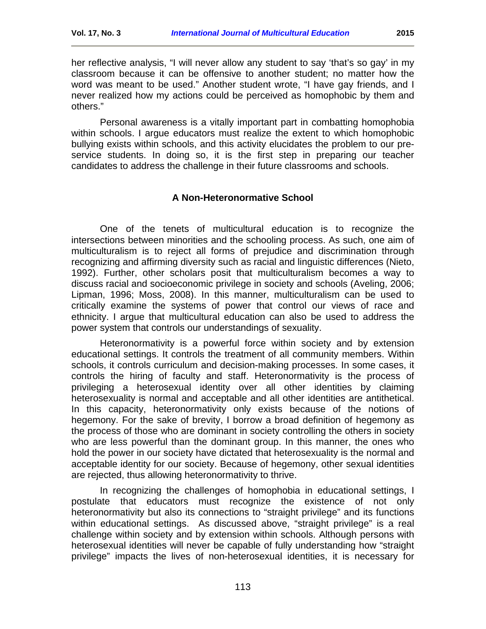her reflective analysis, "I will never allow any student to say 'that's so gay' in my classroom because it can be offensive to another student; no matter how the word was meant to be used." Another student wrote, "I have gay friends, and I never realized how my actions could be perceived as homophobic by them and others."

Personal awareness is a vitally important part in combatting homophobia within schools. I argue educators must realize the extent to which homophobic bullying exists within schools, and this activity elucidates the problem to our preservice students. In doing so, it is the first step in preparing our teacher candidates to address the challenge in their future classrooms and schools.

#### **A Non-Heteronormative School**

<span id="page-6-0"></span>One of the tenets of multicultural education is to recognize the intersections between minorities and the schooling process. As such, one aim of multiculturalism is to reject all forms of prejudice and discrimination through recognizing and affirming diversity such as racial and linguistic differences (Nieto, 1992). Further, other scholars posit that multiculturalism becomes a way to discuss racial and socioeconomic privilege in society and schools (Aveling, 2006; Lipman, 1996; Moss, 2008). In this manner, multiculturalism can be used to critically examine the systems of power that control our views of race and ethnicity. I argue that multicultural education can also be used to address the power system that controls our understandings of sexuality.

Heteronormativity is a powerful force within society and by extension educational settings. It controls the treatment of all community members. Within schools, it controls curriculum and decision-making processes. In some cases, it controls the hiring of faculty and staff. Heteronormativity is the process of privileging a heterosexual identity over all other identities by claiming heterosexuality is normal and acceptable and all other identities are antithetical. In this capacity, heteronormativity only exists because of the notions of hegemony. For the sake of brevity, I borrow a broad definition of hegemony as the process of those who are dominant in society controlling the others in society who are less powerful than the dominant group. In this manner, the ones who hold the power in our society have dictated that heterosexuality is the normal and acceptable identity for our society. Because of hegemony, other sexual identities are rejected, thus allowing heteronormativity to thrive.

In recognizing the challenges of homophobia in educational settings, I postulate that educators must recognize the existence of not only heteronormativity but also its connections to "straight privilege" and its functions within educational settings. As discussed above, "straight privilege" is a real challenge within society and by extension within schools. Although persons with heterosexual identities will never be capable of fully understanding how "straight privilege" impacts the lives of non-heterosexual identities, it is necessary for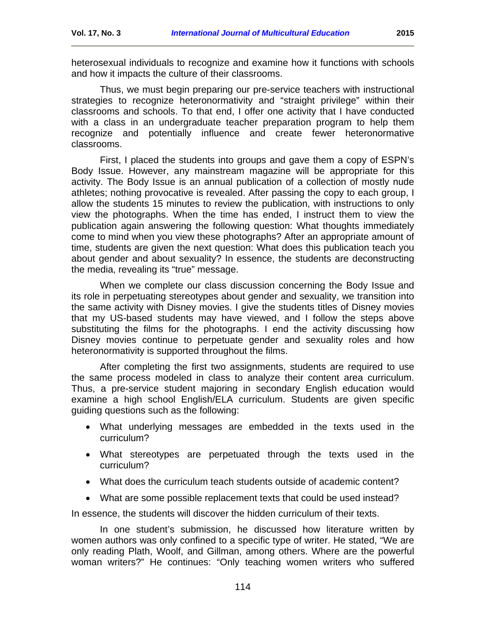heterosexual individuals to recognize and examine how it functions with schools and how it impacts the culture of their classrooms.

Thus, we must begin preparing our pre-service teachers with instructional strategies to recognize heteronormativity and "straight privilege" within their classrooms and schools. To that end, I offer one activity that I have conducted with a class in an undergraduate teacher preparation program to help them recognize and potentially influence and create fewer heteronormative classrooms.

First, I placed the students into groups and gave them a copy of ESPN's Body Issue. However, any mainstream magazine will be appropriate for this activity. The Body Issue is an annual publication of a collection of mostly nude athletes; nothing provocative is revealed. After passing the copy to each group, I allow the students 15 minutes to review the publication, with instructions to only view the photographs. When the time has ended, I instruct them to view the publication again answering the following question: What thoughts immediately come to mind when you view these photographs? After an appropriate amount of time, students are given the next question: What does this publication teach you about gender and about sexuality? In essence, the students are deconstructing the media, revealing its "true" message.

When we complete our class discussion concerning the Body Issue and its role in perpetuating stereotypes about gender and sexuality, we transition into the same activity with Disney movies. I give the students titles of Disney movies that my US-based students may have viewed, and I follow the steps above substituting the films for the photographs. I end the activity discussing how Disney movies continue to perpetuate gender and sexuality roles and how heteronormativity is supported throughout the films.

After completing the first two assignments, students are required to use the same process modeled in class to analyze their content area curriculum. Thus, a pre-service student majoring in secondary English education would examine a high school English/ELA curriculum. Students are given specific guiding questions such as the following:

- What underlying messages are embedded in the texts used in the curriculum?
- What stereotypes are perpetuated through the texts used in the curriculum?
- What does the curriculum teach students outside of academic content?
- What are some possible replacement texts that could be used instead?

In essence, the students will discover the hidden curriculum of their texts.

In one student's submission, he discussed how literature written by women authors was only confined to a specific type of writer. He stated, "We are only reading Plath, Woolf, and Gillman, among others. Where are the powerful woman writers?" He continues: "Only teaching women writers who suffered

114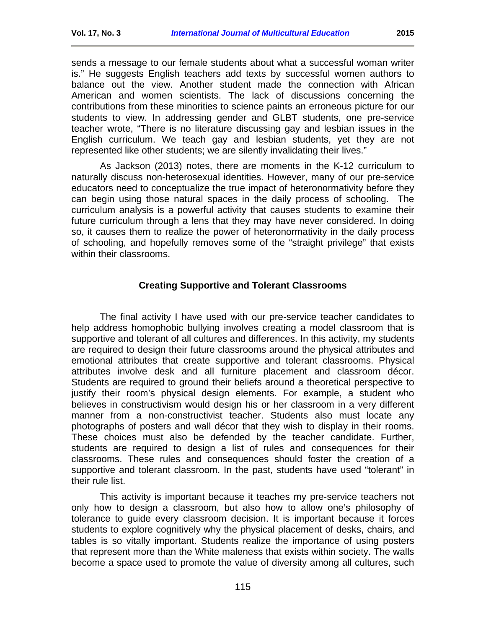sends a message to our female students about what a successful woman writer is." He suggests English teachers add texts by successful women authors to balance out the view. Another student made the connection with African American and women scientists. The lack of discussions concerning the contributions from these minorities to science paints an erroneous picture for our students to view. In addressing gender and GLBT students, one pre-service teacher wrote, "There is no literature discussing gay and lesbian issues in the English curriculum. We teach gay and lesbian students, yet they are not represented like other students; we are silently invalidating their lives."

As Jackson (2013) notes, there are moments in the K-12 curriculum to naturally discuss non-heterosexual identities. However, many of our pre-service educators need to conceptualize the true impact of heteronormativity before they can begin using those natural spaces in the daily process of schooling. The curriculum analysis is a powerful activity that causes students to examine their future curriculum through a lens that they may have never considered. In doing so, it causes them to realize the power of heteronormativity in the daily process of schooling, and hopefully removes some of the "straight privilege" that exists within their classrooms.

# **Creating Supportive and Tolerant Classrooms**

<span id="page-8-0"></span>The final activity I have used with our pre-service teacher candidates to help address homophobic bullying involves creating a model classroom that is supportive and tolerant of all cultures and differences. In this activity, my students are required to design their future classrooms around the physical attributes and emotional attributes that create supportive and tolerant classrooms. Physical attributes involve desk and all furniture placement and classroom décor. Students are required to ground their beliefs around a theoretical perspective to justify their room's physical design elements. For example, a student who believes in constructivism would design his or her classroom in a very different manner from a non-constructivist teacher. Students also must locate any photographs of posters and wall décor that they wish to display in their rooms. These choices must also be defended by the teacher candidate. Further, students are required to design a list of rules and consequences for their classrooms. These rules and consequences should foster the creation of a supportive and tolerant classroom. In the past, students have used "tolerant" in their rule list.

This activity is important because it teaches my pre-service teachers not only how to design a classroom, but also how to allow one's philosophy of tolerance to guide every classroom decision. It is important because it forces students to explore cognitively why the physical placement of desks, chairs, and tables is so vitally important. Students realize the importance of using posters that represent more than the White maleness that exists within society. The walls become a space used to promote the value of diversity among all cultures, such

115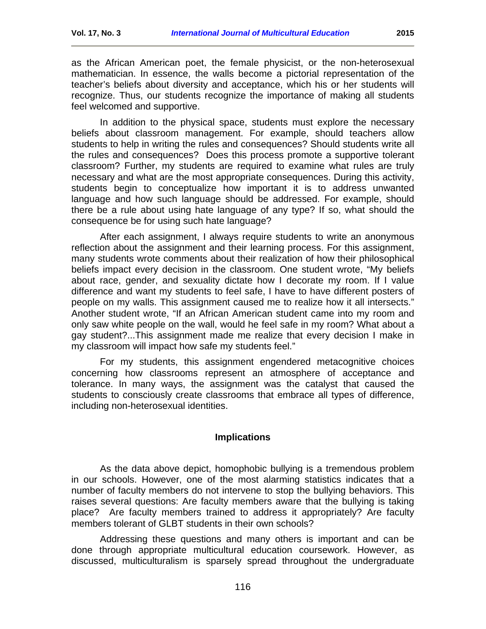as the African American poet, the female physicist, or the non-heterosexual mathematician. In essence, the walls become a pictorial representation of the teacher's beliefs about diversity and acceptance, which his or her students will recognize. Thus, our students recognize the importance of making all students feel welcomed and supportive.

In addition to the physical space, students must explore the necessary beliefs about classroom management. For example, should teachers allow students to help in writing the rules and consequences? Should students write all the rules and consequences? Does this process promote a supportive tolerant classroom? Further, my students are required to examine what rules are truly necessary and what are the most appropriate consequences. During this activity, students begin to conceptualize how important it is to address unwanted language and how such language should be addressed. For example, should there be a rule about using hate language of any type? If so, what should the consequence be for using such hate language?

After each assignment, I always require students to write an anonymous reflection about the assignment and their learning process. For this assignment, many students wrote comments about their realization of how their philosophical beliefs impact every decision in the classroom. One student wrote, "My beliefs about race, gender, and sexuality dictate how I decorate my room. If I value difference and want my students to feel safe, I have to have different posters of people on my walls. This assignment caused me to realize how it all intersects." Another student wrote, "If an African American student came into my room and only saw white people on the wall, would he feel safe in my room? What about a gay student?...This assignment made me realize that every decision I make in my classroom will impact how safe my students feel."

For my students, this assignment engendered metacognitive choices concerning how classrooms represent an atmosphere of acceptance and tolerance. In many ways, the assignment was the catalyst that caused the students to consciously create classrooms that embrace all types of difference, including non-heterosexual identities.

### **Implications**

<span id="page-9-0"></span>As the data above depict, homophobic bullying is a tremendous problem in our schools. However, one of the most alarming statistics indicates that a number of faculty members do not intervene to stop the bullying behaviors. This raises several questions: Are faculty members aware that the bullying is taking place? Are faculty members trained to address it appropriately? Are faculty members tolerant of GLBT students in their own schools?

Addressing these questions and many others is important and can be done through appropriate multicultural education coursework. However, as discussed, multiculturalism is sparsely spread throughout the undergraduate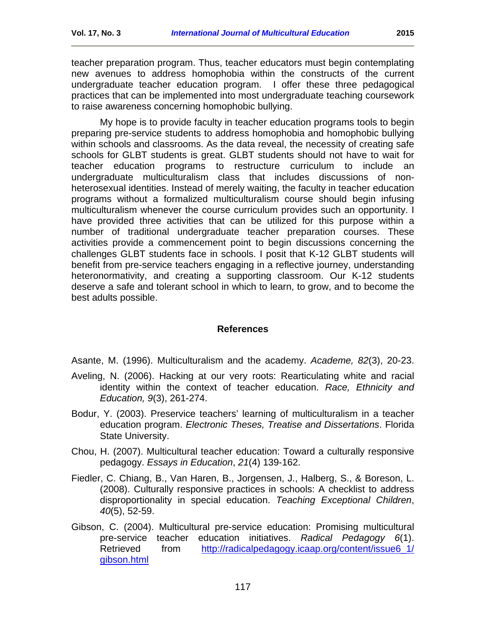teacher preparation program. Thus, teacher educators must begin contemplating new avenues to address homophobia within the constructs of the current undergraduate teacher education program. I offer these three pedagogical practices that can be implemented into most undergraduate teaching coursework to raise awareness concerning homophobic bullying.

My hope is to provide faculty in teacher education programs tools to begin preparing pre-service students to address homophobia and homophobic bullying within schools and classrooms. As the data reveal, the necessity of creating safe schools for GLBT students is great. GLBT students should not have to wait for teacher education programs to restructure curriculum to include an undergraduate multiculturalism class that includes discussions of nonheterosexual identities. Instead of merely waiting, the faculty in teacher education programs without a formalized multiculturalism course should begin infusing multiculturalism whenever the course curriculum provides such an opportunity. I have provided three activities that can be utilized for this purpose within a number of traditional undergraduate teacher preparation courses. These activities provide a commencement point to begin discussions concerning the challenges GLBT students face in schools. I posit that K-12 GLBT students will benefit from pre-service teachers engaging in a reflective journey, understanding heteronormativity, and creating a supporting classroom. Our K-12 students deserve a safe and tolerant school in which to learn, to grow, and to become the best adults possible.

### **References**

<span id="page-10-0"></span>Asante, M. (1996). Multiculturalism and the academy. *Academe, 82*(3), 20-23.

- Aveling, N. (2006). Hacking at our very roots: Rearticulating white and racial identity within the context of teacher education. *Race, Ethnicity and Education, 9*(3), 261-274.
- Bodur, Y. (2003). Preservice teachers' learning of multiculturalism in a teacher education program. *Electronic Theses, Treatise and Dissertations*. Florida State University.
- Chou, H. (2007). Multicultural teacher education: Toward a culturally responsive pedagogy. *Essays in Education*, *21*(4) 139-162.
- Fiedler, C. Chiang, B., Van Haren, B., Jorgensen, J., Halberg, S., & Boreson, L. (2008). Culturally responsive practices in schools: A checklist to address disproportionality in special education. *Teaching Exceptional Children*, *40*(5), 52-59.
- Gibson, C. (2004). Multicultural pre-service education: Promising multicultural pre-service teacher education initiatives. *Radical Pedagogy 6*(1). Retrieved from http://radicalpedagogy.icaap.org/content/issue6\_1/ [gibson.html](http://radicalpedagogy.icaap.org/content/issue6_1/%20gibson.html)